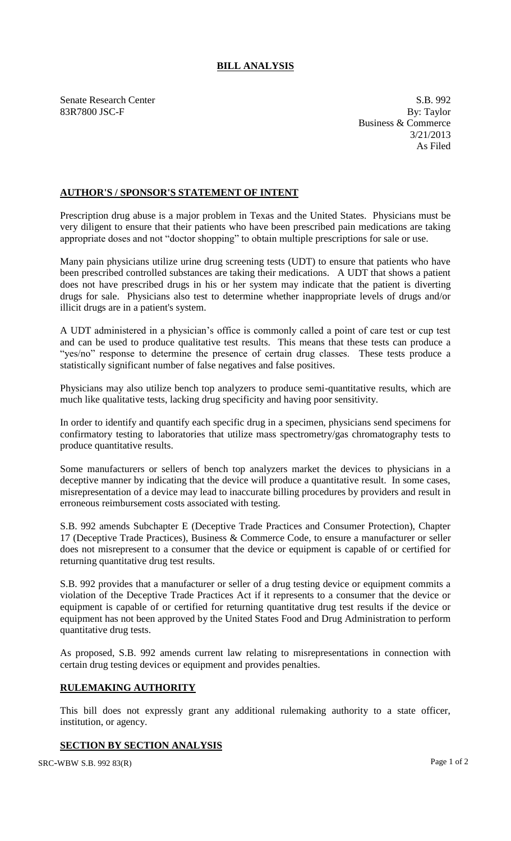## **BILL ANALYSIS**

Senate Research Center S.B. 992 83R7800 JSC-F By: Taylor

Business & Commerce 3/21/2013 As Filed

## **AUTHOR'S / SPONSOR'S STATEMENT OF INTENT**

Prescription drug abuse is a major problem in Texas and the United States. Physicians must be very diligent to ensure that their patients who have been prescribed pain medications are taking appropriate doses and not "doctor shopping" to obtain multiple prescriptions for sale or use.

Many pain physicians utilize urine drug screening tests (UDT) to ensure that patients who have been prescribed controlled substances are taking their medications. A UDT that shows a patient does not have prescribed drugs in his or her system may indicate that the patient is diverting drugs for sale. Physicians also test to determine whether inappropriate levels of drugs and/or illicit drugs are in a patient's system.

A UDT administered in a physician's office is commonly called a point of care test or cup test and can be used to produce qualitative test results. This means that these tests can produce a "yes/no" response to determine the presence of certain drug classes. These tests produce a statistically significant number of false negatives and false positives.

Physicians may also utilize bench top analyzers to produce semi-quantitative results, which are much like qualitative tests, lacking drug specificity and having poor sensitivity.

In order to identify and quantify each specific drug in a specimen, physicians send specimens for confirmatory testing to laboratories that utilize mass spectrometry/gas chromatography tests to produce quantitative results.

Some manufacturers or sellers of bench top analyzers market the devices to physicians in a deceptive manner by indicating that the device will produce a quantitative result. In some cases, misrepresentation of a device may lead to inaccurate billing procedures by providers and result in erroneous reimbursement costs associated with testing.

S.B. 992 amends Subchapter E (Deceptive Trade Practices and Consumer Protection), Chapter 17 (Deceptive Trade Practices), Business & Commerce Code, to ensure a manufacturer or seller does not misrepresent to a consumer that the device or equipment is capable of or certified for returning quantitative drug test results.

S.B. 992 provides that a manufacturer or seller of a drug testing device or equipment commits a violation of the Deceptive Trade Practices Act if it represents to a consumer that the device or equipment is capable of or certified for returning quantitative drug test results if the device or equipment has not been approved by the United States Food and Drug Administration to perform quantitative drug tests.

As proposed, S.B. 992 amends current law relating to misrepresentations in connection with certain drug testing devices or equipment and provides penalties.

## **RULEMAKING AUTHORITY**

This bill does not expressly grant any additional rulemaking authority to a state officer, institution, or agency.

## **SECTION BY SECTION ANALYSIS**

SRC-WBW S.B. 992 83(R) Page 1 of 2